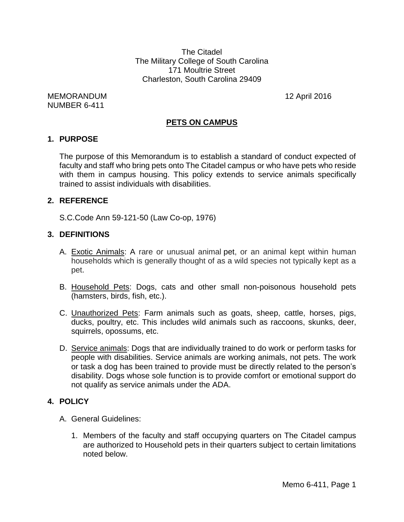The Citadel The Military College of South Carolina 171 Moultrie Street Charleston, South Carolina 29409

MEMORANDUM 12 April 2016 NUMBER 6-411

## **PETS ON CAMPUS**

### **1. PURPOSE**

The purpose of this Memorandum is to establish a standard of conduct expected of faculty and staff who bring pets onto The Citadel campus or who have pets who reside with them in campus housing. This policy extends to service animals specifically trained to assist individuals with disabilities.

### **2. REFERENCE**

S.C.Code Ann 59-121-50 (Law Co-op, 1976)

### **3. DEFINITIONS**

- A. Exotic Animals: A rare or unusual animal [pet,](https://en.wikipedia.org/wiki/Pet) or an animal kept within human households which is generally thought of as a wild species not typically kept as a pet.
- B. Household Pets: Dogs, cats and other small non-poisonous household pets (hamsters, birds, fish, etc.).
- C. Unauthorized Pets: Farm animals such as goats, sheep, cattle, horses, pigs, ducks, poultry, etc. This includes wild animals such as raccoons, skunks, deer, squirrels, opossums, etc.
- D. Service animals: Dogs that are individually trained to do work or perform tasks for people with disabilities. Service animals are working animals, not pets. The work or task a dog has been trained to provide must be directly related to the person's disability. Dogs whose sole function is to provide comfort or emotional support do not qualify as service animals under the ADA.

### **4. POLICY**

- A. General Guidelines:
	- 1. Members of the faculty and staff occupying quarters on The Citadel campus are authorized to Household pets in their quarters subject to certain limitations noted below.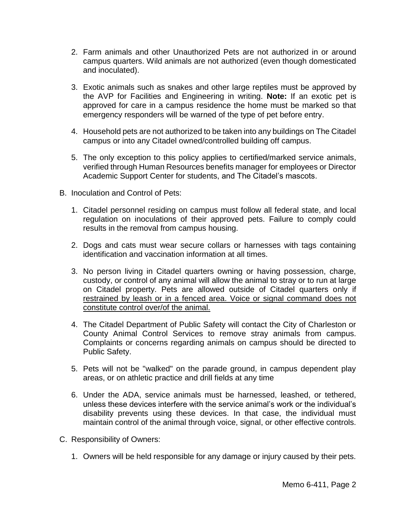- 2. Farm animals and other Unauthorized Pets are not authorized in or around campus quarters. Wild animals are not authorized (even though domesticated and inoculated).
- 3. Exotic animals such as snakes and other large reptiles must be approved by the AVP for Facilities and Engineering in writing. **Note:** If an exotic pet is approved for care in a campus residence the home must be marked so that emergency responders will be warned of the type of pet before entry.
- 4. Household pets are not authorized to be taken into any buildings on The Citadel campus or into any Citadel owned/controlled building off campus.
- 5. The only exception to this policy applies to certified/marked service animals, verified through Human Resources benefits manager for employees or Director Academic Support Center for students, and The Citadel's mascots.
- B. Inoculation and Control of Pets:
	- 1. Citadel personnel residing on campus must follow all federal state, and local regulation on inoculations of their approved pets. Failure to comply could results in the removal from campus housing.
	- 2. Dogs and cats must wear secure collars or harnesses with tags containing identification and vaccination information at all times.
	- 3. No person living in Citadel quarters owning or having possession, charge, custody, or control of any animal will allow the animal to stray or to run at large on Citadel property. Pets are allowed outside of Citadel quarters only if restrained by leash or in a fenced area. Voice or signal command does not constitute control over/of the animal.
	- 4. The Citadel Department of Public Safety will contact the City of Charleston or County Animal Control Services to remove stray animals from campus. Complaints or concerns regarding animals on campus should be directed to Public Safety.
	- 5. Pets will not be "walked" on the parade ground, in campus dependent play areas, or on athletic practice and drill fields at any time
	- 6. Under the ADA, service animals must be harnessed, leashed, or tethered, unless these devices interfere with the service animal's work or the individual's disability prevents using these devices. In that case, the individual must maintain control of the animal through voice, signal, or other effective controls.
- C. Responsibility of Owners:
	- 1. Owners will be held responsible for any damage or injury caused by their pets.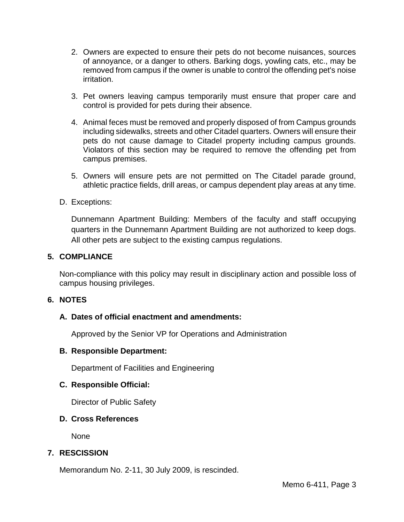- 2. Owners are expected to ensure their pets do not become nuisances, sources of annoyance, or a danger to others. Barking dogs, yowling cats, etc., may be removed from campus if the owner is unable to control the offending pet's noise irritation.
- 3. Pet owners leaving campus temporarily must ensure that proper care and control is provided for pets during their absence.
- 4. Animal feces must be removed and properly disposed of from Campus grounds including sidewalks, streets and other Citadel quarters. Owners will ensure their pets do not cause damage to Citadel property including campus grounds. Violators of this section may be required to remove the offending pet from campus premises.
- 5. Owners will ensure pets are not permitted on The Citadel parade ground, athletic practice fields, drill areas, or campus dependent play areas at any time.

### D. Exceptions:

Dunnemann Apartment Building: Members of the faculty and staff occupying quarters in the Dunnemann Apartment Building are not authorized to keep dogs. All other pets are subject to the existing campus regulations.

### **5. COMPLIANCE**

Non-compliance with this policy may result in disciplinary action and possible loss of campus housing privileges.

#### **6. NOTES**

### **A. Dates of official enactment and amendments:**

Approved by the Senior VP for Operations and Administration

### **B. Responsible Department:**

Department of Facilities and Engineering

### **C. Responsible Official:**

Director of Public Safety

### **D. Cross References**

None

### **7. RESCISSION**

Memorandum No. 2-11, 30 July 2009, is rescinded.